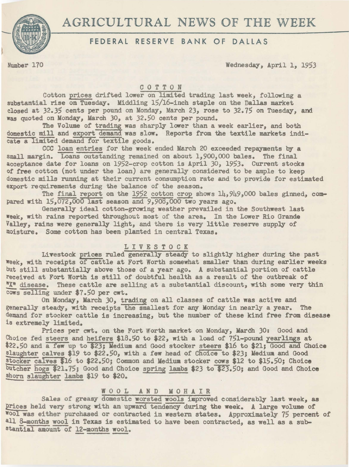# AGRICULTURAL NEWS OF THE WEEK



# FEDERAL RESERVE BANK OF DALLAS

Number 170 Wednesday, April l, 1953

### COTTON

Cotton prices drifted lower on limited trading last week, following a substantial rise on Tuesday. Middling 15/16-inch staple on the Dallas market closed at 32.35 cents per pound on Monday, March 23, rose to 32.75 on Tuesday, and was quoted on Monday, March *30,* at 32.50 cents per pound.

The Volume of trading was sharply lower than a week earlier, and both domestic mill and export demand was slow. Reports from the textile markets indicate a limited demand for textile goods.

CCC loan entries for the week ended March 20 exceeded repayments by a small margin. Loans outstanding remained on about 1,900,000 bales. The final acceptance date for loans on 1952-crop cotton is April 30, 1953. Current stocks or free cotton (not under the loan) are generally considered to be ample to keep domestic mills running at their current consumption rate and to provide for estimated export requirements during the balance of the season.

The final report on the 1952 cotton crop shows 14,949,000 bales gimed, compared with 15,072,000 last season and 9,908,000 two years ago.<br>Generally ideal cotton-growing weather prevailed in the Southwest last

week, with rains reported throughout most of the area. In the Lower Rio Grande Valley, rains were generally light, and there is very little reserve supply of moisture. Some cotton has been planted in central Texas.

### LIVESTOCK

Livestock prices ruled generally steady to slightly higher during the past Week, with receipts of cattle at Fort Worth somewhat smaller than during earlier weeks but still substantially above those of a year ago. A substantial portion of cattle received at Fort Worth is still of doubtful health as a result of the outbreak of' "X" disease. These cattle are selling at a substantial discount, with some very thin cows selling under \$7.50 per cwt.

On Monday, March 30, trading on all classes of cattle was active and generally steady, with receipts the smallest for any Monday in nearly a year. The demand for stocker cattle is increasing, but the number of these kind free from disease is extremely limited.

Prices per cwt. on the Fort Worth market on Monday, March 30: Good and Choice fed steers and heifers \$18.50 to \$22, with a load of 751-pound yearlings at \$22.50 and a few up to \$23; Medium and Good stocker steers \$16 to \$21; Good and Choice 8laughter calves \$19 to \$22.50, with a few head of Choice to \$23; Medium and Good stocker calves \$16 to \$22.50; Common and Medium stocker cows \$12 to \$15.50; Choice butcher hogs \$21.75; Good and Choice spring lambs \$23 to \$23.50; and Good and Choice shorn slaughter lambs \$19 to \$20.

# WOOL AND MOHAIR

Sales of greasy domestic worsted wools improved considerably last week, as Prices held very strong with an upward tendency during the week. A large volume of Wool was either purchased or contracted in western states. Approximately 75 percent of all 8-months wool in Texas is estimated to have been contracted, as well as a suball 8-months wool in Texas is estimated to have been contracted, as well as a sub-stantial amount of 12-months wool.